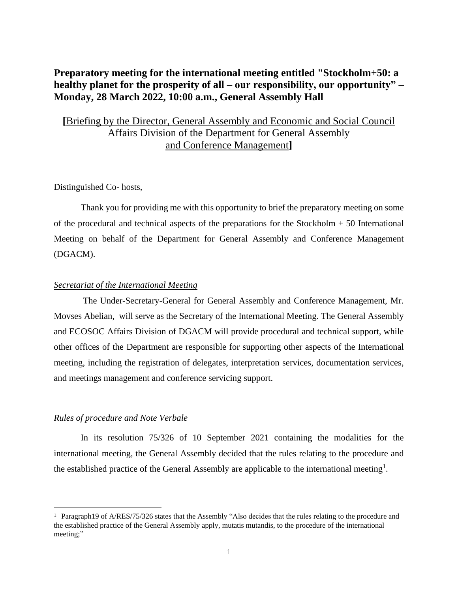# **Preparatory meeting for the international meeting entitled "Stockholm+50: a healthy planet for the prosperity of all – our responsibility, our opportunity" – Monday, 28 March 2022, 10:00 a.m., General Assembly Hall**

## **[**Briefing by the Director, General Assembly and Economic and Social Council Affairs Division of the Department for General Assembly and Conference Management**]**

## Distinguished Co- hosts,

Thank you for providing me with this opportunity to brief the preparatory meeting on some of the procedural and technical aspects of the preparations for the Stockholm + 50 International Meeting on behalf of the Department for General Assembly and Conference Management (DGACM).

## *Secretariat of the International Meeting*

 The Under-Secretary-General for General Assembly and Conference Management, Mr. Movses Abelian, will serve as the Secretary of the International Meeting. The General Assembly and ECOSOC Affairs Division of DGACM will provide procedural and technical support, while other offices of the Department are responsible for supporting other aspects of the International meeting, including the registration of delegates, interpretation services, documentation services, and meetings management and conference servicing support.

#### *Rules of procedure and Note Verbale*

In its resolution 75/326 of 10 September 2021 containing the modalities for the international meeting, the General Assembly decided that the rules relating to the procedure and the established practice of the General Assembly are applicable to the international meeting<sup>1</sup>.

<sup>&</sup>lt;sup>1</sup> Paragraph19 of A/RES/75/326 states that the Assembly "Also decides that the rules relating to the procedure and the established practice of the General Assembly apply, mutatis mutandis, to the procedure of the international meeting;"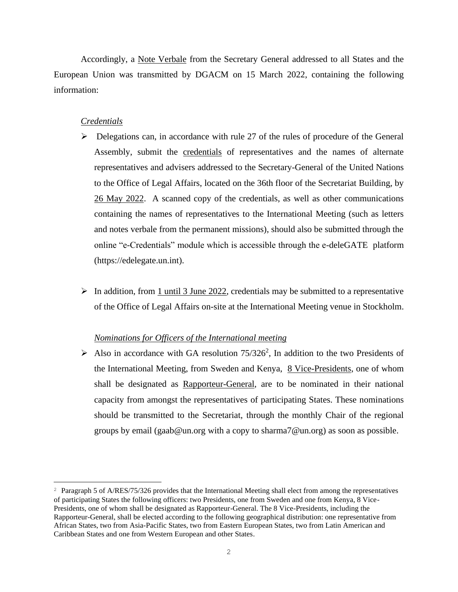Accordingly, a Note Verbale from the Secretary General addressed to all States and the European Union was transmitted by DGACM on 15 March 2022, containing the following information:

## *Credentials*

- $\triangleright$  Delegations can, in accordance with rule 27 of the rules of procedure of the General Assembly, submit the **credentials** of representatives and the names of alternate representatives and advisers addressed to the Secretary-General of the United Nations to the Office of Legal Affairs, located on the 36th floor of the Secretariat Building, by 26 May 2022. A scanned copy of the credentials, as well as other communications containing the names of representatives to the International Meeting (such as letters and notes verbale from the permanent missions), should also be submitted through the online "e-Credentials" module which is accessible through the e-deleGATE platform [\(https://edelegate.un.int\)](https://edelegate.un.int/).
- $\triangleright$  In addition, from 1 until 3 June 2022, credentials may be submitted to a representative of the Office of Legal Affairs on-site at the International Meeting venue in Stockholm.

#### *Nominations for Officers of the International meeting*

 $\triangleright$  Also in accordance with GA resolution 75/326<sup>2</sup>, In addition to the two Presidents of the International Meeting, from Sweden and Kenya, 8 Vice-Presidents, one of whom shall be designated as Rapporteur-General, are to be nominated in their national capacity from amongst the representatives of participating States. These nominations should be transmitted to the Secretariat, through the monthly Chair of the regional groups by email [\(gaab@un.org](mailto:gaab@un.org) with a copy to [sharma7@un.org\)](mailto:sharma7@un.org) as soon as possible.

<sup>&</sup>lt;sup>2</sup> Paragraph 5 of A/RES/75/326 provides that the International Meeting shall elect from among the representatives of participating States the following officers: two Presidents, one from Sweden and one from Kenya, 8 Vice-Presidents, one of whom shall be designated as Rapporteur-General. The 8 Vice-Presidents, including the Rapporteur-General, shall be elected according to the following geographical distribution: one representative from African States, two from Asia-Pacific States, two from Eastern European States, two from Latin American and Caribbean States and one from Western European and other States.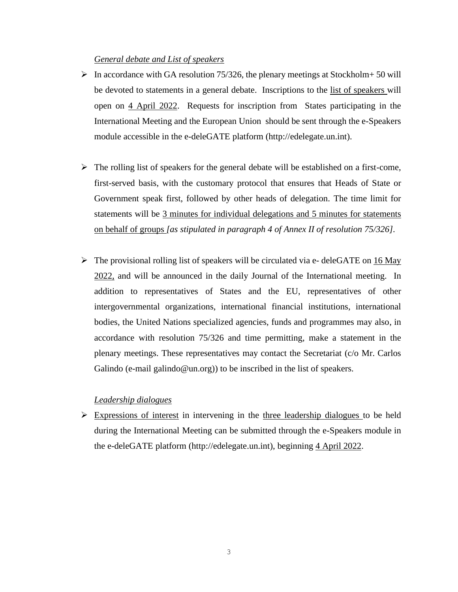## *General debate and List of speakers*

- $\triangleright$  In accordance with GA resolution 75/326, the plenary meetings at Stockholm+ 50 will be devoted to statements in a general debate. Inscriptions to the list of speakers will open on 4 April 2022. Requests for inscription from States participating in the International Meeting and the European Union should be sent through the e-Speakers module accessible in the e-deleGATE platform [\(http://edelegate.un.int\)](http://edelegate.un.int/).
- $\triangleright$  The rolling list of speakers for the general debate will be established on a first-come, first-served basis, with the customary protocol that ensures that Heads of State or Government speak first, followed by other heads of delegation. The time limit for statements will be 3 minutes for individual delegations and 5 minutes for statements on behalf of groups *[as stipulated in paragraph 4 of Annex II of resolution 75/326]*.
- $\triangleright$  The provisional rolling list of speakers will be circulated via e- deleGATE on 16 May 2022, and will be announced in the daily Journal of the International meeting. In addition to representatives of States and the EU, representatives of other intergovernmental organizations, international financial institutions, international bodies, the United Nations specialized agencies, funds and programmes may also, in accordance with resolution 75/326 and time permitting, make a statement in the plenary meetings. These representatives may contact the Secretariat (c/o Mr. Carlos Galindo (e-mail [galindo@un.org\)](mailto:galindo@un.org)) to be inscribed in the list of speakers.

## *Leadership dialogues*

 $\triangleright$  Expressions of interest in intervening in the three leadership dialogues to be held during the International Meeting can be submitted through the e-Speakers module in the e-deleGATE platform [\(http://edelegate.un.int\)](http://edelegate.un.int/), beginning 4 April 2022.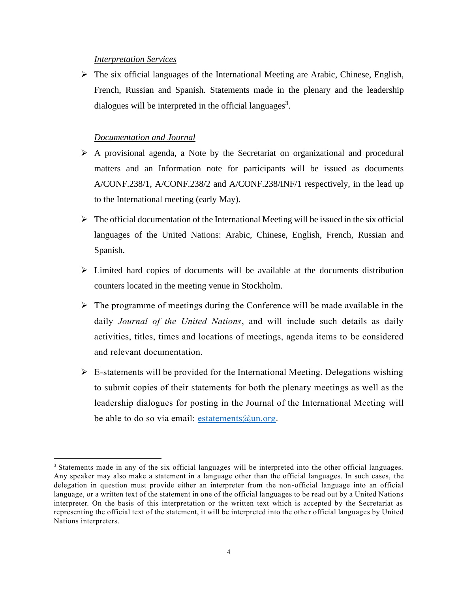#### *Interpretation Services*

 $\triangleright$  The six official languages of the International Meeting are Arabic, Chinese, English, French, Russian and Spanish. Statements made in the plenary and the leadership dialogues will be interpreted in the official languages<sup>3</sup>.

## *Documentation and Journal*

- ➢ A provisional agenda, a Note by the Secretariat on organizational and procedural matters and an Information note for participants will be issued as documents A/CONF.238/1, A/CONF.238/2 and A/CONF.238/INF/1 respectively, in the lead up to the International meeting (early May).
- $\triangleright$  The official documentation of the International Meeting will be issued in the six official languages of the United Nations: Arabic, Chinese, English, French, Russian and Spanish.
- ➢ Limited hard copies of documents will be available at the documents distribution counters located in the meeting venue in Stockholm.
- $\triangleright$  The programme of meetings during the Conference will be made available in the daily *Journal of the United Nations*, and will include such details as daily activities, titles, times and locations of meetings, agenda items to be considered and relevant documentation.
- $\triangleright$  E-statements will be provided for the International Meeting. Delegations wishing to submit copies of their statements for both the plenary meetings as well as the leadership dialogues for posting in the Journal of the International Meeting will be able to do so via email: [estatements@un.org.](mailto:estatements@un.org)

<sup>3</sup> Statements made in any of the six official languages will be interpreted into the other official languages. Any speaker may also make a statement in a language other than the official languages. In such cases, the delegation in question must provide either an interpreter from the non-official language into an official language, or a written text of the statement in one of the official languages to be read out by a United Nations interpreter. On the basis of this interpretation or the written text which is accepted by the Secretariat as representing the official text of the statement, it will be interpreted into the othe r official languages by United Nations interpreters.